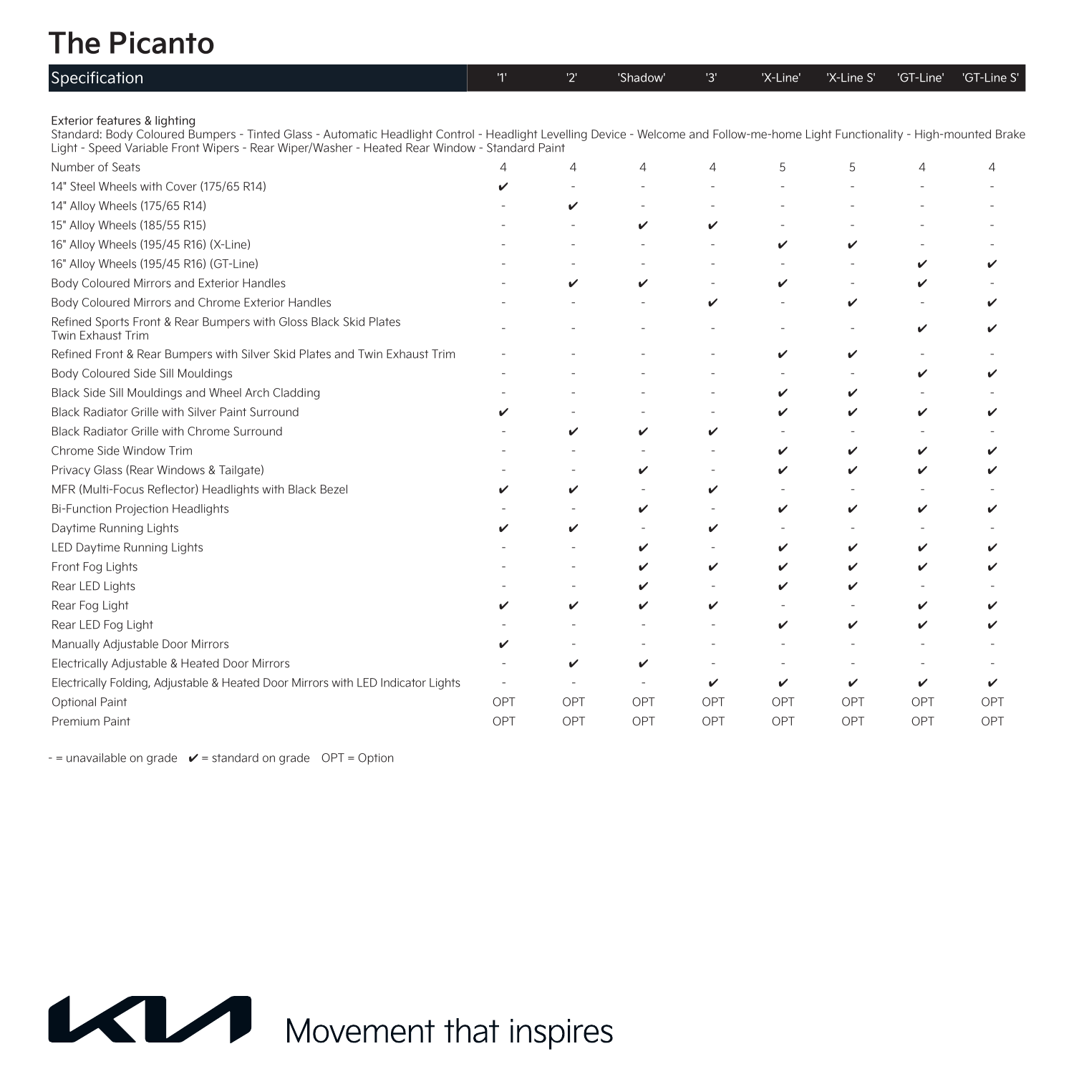# **The Picanto**

| Specification                                                                                                                                                                                                                                                                                                    | 1'  | 2'  | 'Shadow' | '3' | 'X-Line' | 'X-Line S' | 'GT-Line' | 'GT-Line S' |
|------------------------------------------------------------------------------------------------------------------------------------------------------------------------------------------------------------------------------------------------------------------------------------------------------------------|-----|-----|----------|-----|----------|------------|-----------|-------------|
| Exterior features & lighting<br>Standard: Body Coloured Bumpers - Tinted Glass - Automatic Headlight Control - Headlight Levelling Device - Welcome and Follow-me-home Light Functionality - High-mounted Brake<br>Light - Speed Variable Front Wipers - Rear Wiper/Washer - Heated Rear Window - Standard Paint |     |     |          |     |          |            |           |             |
| Number of Seats                                                                                                                                                                                                                                                                                                  |     | 4   | 4        | 4   | 5        | 5          | 4         | Δ           |
| 14" Steel Wheels with Cover (175/65 R14)                                                                                                                                                                                                                                                                         | ✓   |     |          |     |          |            |           |             |
| 14" Alloy Wheels (175/65 R14)                                                                                                                                                                                                                                                                                    |     | ✓   |          |     |          |            |           |             |
| 15" Alloy Wheels (185/55 R15)                                                                                                                                                                                                                                                                                    |     |     | v        | v   |          |            |           |             |
| 16" Alloy Wheels (195/45 R16) (X-Line)                                                                                                                                                                                                                                                                           |     |     |          |     | ✓        | v          |           |             |
| 16" Alloy Wheels (195/45 R16) (GT-Line)                                                                                                                                                                                                                                                                          |     |     |          |     |          |            | ✓         |             |
| Body Coloured Mirrors and Exterior Handles                                                                                                                                                                                                                                                                       |     | ✓   | v        |     | v        |            |           |             |
| Body Coloured Mirrors and Chrome Exterior Handles                                                                                                                                                                                                                                                                |     |     |          | v   |          | v          |           |             |
| Refined Sports Front & Rear Bumpers with Gloss Black Skid Plates<br>Twin Exhaust Trim                                                                                                                                                                                                                            |     |     |          |     |          |            | ✓         |             |
| Refined Front & Rear Bumpers with Silver Skid Plates and Twin Exhaust Trim                                                                                                                                                                                                                                       |     |     |          |     | ✓        | v          |           |             |
| Body Coloured Side Sill Mouldings                                                                                                                                                                                                                                                                                |     |     |          |     |          |            |           |             |
| Black Side Sill Mouldings and Wheel Arch Cladding                                                                                                                                                                                                                                                                |     |     |          |     | ✓        | v          |           |             |
| Black Radiator Grille with Silver Paint Surround                                                                                                                                                                                                                                                                 |     |     |          |     | ✓        | ✓          | v         |             |
| Black Radiator Grille with Chrome Surround                                                                                                                                                                                                                                                                       |     | v   | v        | v   |          |            |           |             |
| Chrome Side Window Trim                                                                                                                                                                                                                                                                                          |     |     |          |     | v        | ✓          | ✓         |             |
| Privacy Glass (Rear Windows & Tailgate)                                                                                                                                                                                                                                                                          |     |     | ✓        |     | ✓        | v          | ✓         |             |
| MFR (Multi-Focus Reflector) Headlights with Black Bezel                                                                                                                                                                                                                                                          |     | v   |          | v   |          |            |           |             |
| <b>Bi-Function Projection Headlights</b>                                                                                                                                                                                                                                                                         |     |     | ✓        |     | v        | v          | v         |             |
| Daytime Running Lights                                                                                                                                                                                                                                                                                           |     | v   |          | ✓   |          |            |           |             |
| LED Daytime Running Lights                                                                                                                                                                                                                                                                                       |     |     | ✓        |     | v        | ✓          | ✓         |             |
| Front Fog Lights                                                                                                                                                                                                                                                                                                 |     |     | ✓        | ✓   | ✓        | ✓          |           |             |
| Rear LED Lights                                                                                                                                                                                                                                                                                                  |     |     | v        |     | ✓        | v          |           |             |
| Rear Fog Light                                                                                                                                                                                                                                                                                                   |     | ✓   | v        | ✓   |          |            |           |             |
| Rear LED Fog Light                                                                                                                                                                                                                                                                                               |     |     |          |     | ✓        | ✓          | ✓         |             |
| Manually Adjustable Door Mirrors                                                                                                                                                                                                                                                                                 | v   |     |          |     |          |            |           |             |
| Electrically Adjustable & Heated Door Mirrors                                                                                                                                                                                                                                                                    |     | v   | v        |     |          |            |           |             |
| Electrically Folding, Adjustable & Heated Door Mirrors with LED Indicator Lights                                                                                                                                                                                                                                 |     |     |          | v   | v        | ✓          | v         | v           |
| Optional Paint                                                                                                                                                                                                                                                                                                   | OPT | OPT | OPT      | OPT | OPT      | OPT        | OPT       | OPT         |
| Premium Paint                                                                                                                                                                                                                                                                                                    | OPT | OPT | OPT      | OPT | OPT      | OPT        | OPT       | OPT         |

 $-$  = unavailable on grade  $\mathscr V$  = standard on grade OPT = Option

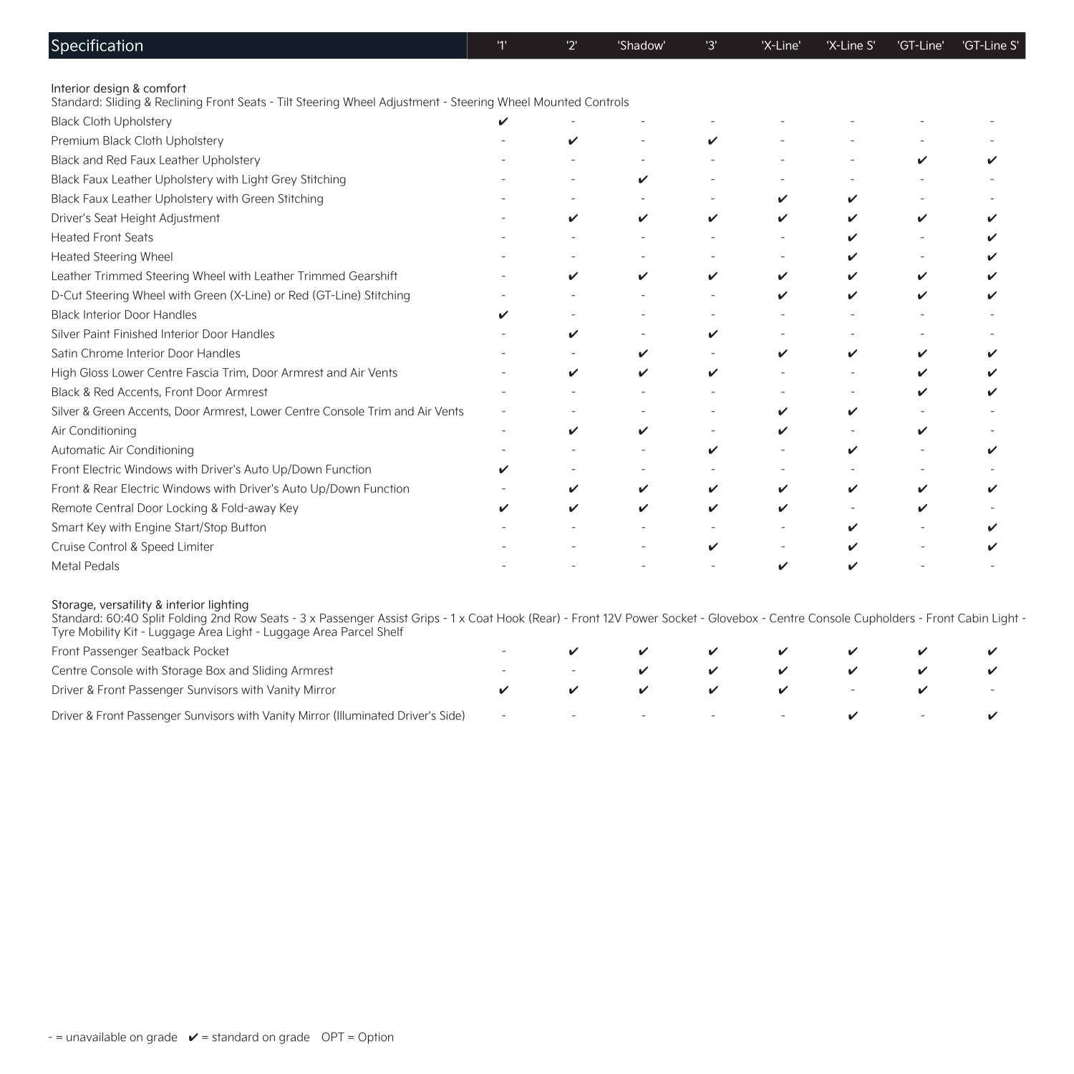| Specification                                                                                                                                                                                                                                                                                           | 11 | '2' | 'Shadow' | '3' | 'X-Line' | 'X-Line S' | 'GT-Line' | 'GT-Line S' |
|---------------------------------------------------------------------------------------------------------------------------------------------------------------------------------------------------------------------------------------------------------------------------------------------------------|----|-----|----------|-----|----------|------------|-----------|-------------|
| Interior design & comfort                                                                                                                                                                                                                                                                               |    |     |          |     |          |            |           |             |
| Standard: Sliding & Reclining Front Seats - Tilt Steering Wheel Adjustment - Steering Wheel Mounted Controls                                                                                                                                                                                            |    |     |          |     |          |            |           |             |
| <b>Black Cloth Upholstery</b>                                                                                                                                                                                                                                                                           |    |     |          |     |          |            |           |             |
| Premium Black Cloth Upholstery                                                                                                                                                                                                                                                                          |    |     |          | v   |          |            |           |             |
| Black and Red Faux Leather Upholstery                                                                                                                                                                                                                                                                   |    |     |          |     |          |            | v         |             |
| Black Faux Leather Upholstery with Light Grey Stitching                                                                                                                                                                                                                                                 |    |     | ✓        |     |          |            |           |             |
| Black Faux Leather Upholstery with Green Stitching                                                                                                                                                                                                                                                      |    |     |          |     | v        |            |           |             |
| Driver's Seat Height Adjustment                                                                                                                                                                                                                                                                         |    | ✓   | v        | v   | v        |            | v         |             |
| <b>Heated Front Seats</b>                                                                                                                                                                                                                                                                               |    |     |          |     |          |            |           |             |
| <b>Heated Steering Wheel</b>                                                                                                                                                                                                                                                                            |    |     |          |     |          |            |           |             |
| Leather Trimmed Steering Wheel with Leather Trimmed Gearshift                                                                                                                                                                                                                                           |    | ✓   | v        | v   | v        | ✓          | v         |             |
| D-Cut Steering Wheel with Green (X-Line) or Red (GT-Line) Stitching                                                                                                                                                                                                                                     |    |     |          |     | ✓        | ✓          | v         |             |
| <b>Black Interior Door Handles</b>                                                                                                                                                                                                                                                                      |    |     |          |     |          |            |           |             |
| Silver Paint Finished Interior Door Handles                                                                                                                                                                                                                                                             |    | ✓   |          | v   |          |            |           |             |
| Satin Chrome Interior Door Handles                                                                                                                                                                                                                                                                      |    |     | v        |     | v        | v          | v         |             |
| High Gloss Lower Centre Fascia Trim, Door Armrest and Air Vents                                                                                                                                                                                                                                         |    | ✓   | ✓        |     |          |            |           |             |
| Black & Red Accents, Front Door Armrest                                                                                                                                                                                                                                                                 |    |     |          |     |          |            |           |             |
| Silver & Green Accents, Door Armrest, Lower Centre Console Trim and Air Vents                                                                                                                                                                                                                           |    |     |          |     |          | ✓          |           |             |
| Air Conditioning                                                                                                                                                                                                                                                                                        |    | v   | V        |     | ✓        |            | v         |             |
| Automatic Air Conditioning                                                                                                                                                                                                                                                                              |    |     |          | ✓   |          | v          |           |             |
| Front Electric Windows with Driver's Auto Up/Down Function                                                                                                                                                                                                                                              |    |     |          |     |          |            |           |             |
| Front & Rear Electric Windows with Driver's Auto Up/Down Function                                                                                                                                                                                                                                       |    | v   | v        | ✓   | v        | v          | v         |             |
| Remote Central Door Locking & Fold-away Key                                                                                                                                                                                                                                                             |    | ✓   | v        |     | v        |            | v         |             |
| Smart Key with Engine Start/Stop Button                                                                                                                                                                                                                                                                 |    |     |          |     |          | v          |           |             |
| Cruise Control & Speed Limiter                                                                                                                                                                                                                                                                          |    |     |          | ✓   |          | v          |           |             |
| <b>Metal Pedals</b>                                                                                                                                                                                                                                                                                     |    |     |          |     | ✓        |            |           |             |
| Storage, versatility & interior lighting<br>Standard: 60:40 Split Folding 2nd Row Seats - 3 x Passenger Assist Grips - 1 x Coat Hook (Rear) - Front 12V Power Socket - Glovebox - Centre Console Cupholders - Front Cabin Light -<br>Tyre Mobility Kit - Luggage Area Light - Luggage Area Parcel Shelf |    |     |          |     |          |            |           |             |
| Front Passenger Seatback Pocket                                                                                                                                                                                                                                                                         |    |     |          |     |          |            |           |             |
| Centre Console with Storage Box and Sliding Armrest                                                                                                                                                                                                                                                     |    |     | ✓        | ✓   | v        | ✓          | v         |             |
| Driver & Front Passenger Sunvisors with Vanity Mirror                                                                                                                                                                                                                                                   |    | v   |          |     |          |            |           |             |
| Driver & Front Passenger Sunvisors with Vanity Mirror (Illuminated Driver's Side)                                                                                                                                                                                                                       |    |     |          |     |          |            |           |             |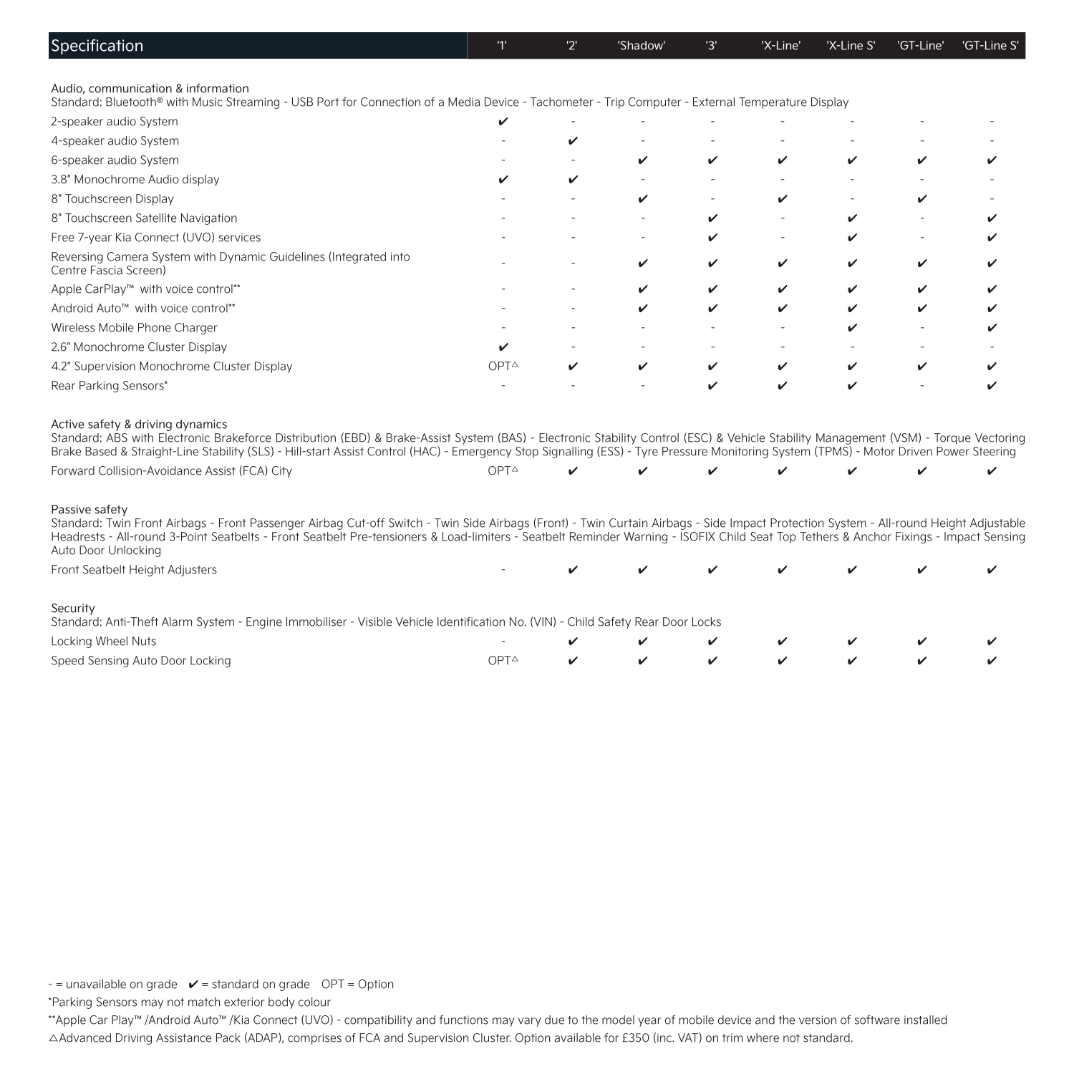| Specification                                                                                                                                                                                                                                                                                                                                                                                                           |      | יכי | 'Shadow' | '3' | 'X-Line' | 'X-Line S' | 'GT-Line' | 'GT-Line S' |
|-------------------------------------------------------------------------------------------------------------------------------------------------------------------------------------------------------------------------------------------------------------------------------------------------------------------------------------------------------------------------------------------------------------------------|------|-----|----------|-----|----------|------------|-----------|-------------|
|                                                                                                                                                                                                                                                                                                                                                                                                                         |      |     |          |     |          |            |           |             |
| Audio, communication & information<br>Standard: Bluetooth® with Music Streaming - USB Port for Connection of a Media Device - Tachometer - Trip Computer - External Temperature Display                                                                                                                                                                                                                                 |      |     |          |     |          |            |           |             |
| 2-speaker audio System                                                                                                                                                                                                                                                                                                                                                                                                  | ✓    |     |          |     |          |            |           |             |
| 4-speaker audio System                                                                                                                                                                                                                                                                                                                                                                                                  |      | v   |          |     |          |            |           |             |
| 6-speaker audio System                                                                                                                                                                                                                                                                                                                                                                                                  |      |     | v        | ✓   | v        | ✓          |           |             |
| 3.8" Monochrome Audio display                                                                                                                                                                                                                                                                                                                                                                                           |      | ✓   |          |     |          |            |           |             |
| 8" Touchscreen Display                                                                                                                                                                                                                                                                                                                                                                                                  |      |     | v        |     | v        |            |           |             |
| 8" Touchscreen Satellite Navigation                                                                                                                                                                                                                                                                                                                                                                                     |      |     |          | ✓   |          | ✓          |           |             |
| Free 7-year Kia Connect (UVO) services                                                                                                                                                                                                                                                                                                                                                                                  |      |     |          |     |          | ✓          |           |             |
| Reversing Camera System with Dynamic Guidelines (Integrated into<br>Centre Fascia Screen)                                                                                                                                                                                                                                                                                                                               |      |     | ✓        | ✓   | v        | ✓          | ✓         |             |
| Apple CarPlay™ with voice control**                                                                                                                                                                                                                                                                                                                                                                                     |      |     | ✓        | ✓   | ✓        | ✓          |           |             |
| Android Auto <sup>™</sup> with voice control**                                                                                                                                                                                                                                                                                                                                                                          |      |     | v        |     | ✓        | v          | ✓         |             |
| Wireless Mobile Phone Charger                                                                                                                                                                                                                                                                                                                                                                                           |      |     |          |     |          | ✓          |           |             |
| 2.6" Monochrome Cluster Display                                                                                                                                                                                                                                                                                                                                                                                         |      |     |          |     |          |            |           |             |
| 4.2" Supervision Monochrome Cluster Display                                                                                                                                                                                                                                                                                                                                                                             | OPT△ | v   | ✓        | ✓   | v        | ✓          | ✓         |             |
| Rear Parking Sensors*                                                                                                                                                                                                                                                                                                                                                                                                   |      |     |          |     | ✓        | ✓          |           |             |
| Active safety & driving dynamics<br>Standard: ABS with Electronic Brakeforce Distribution (EBD) & Brake-Assist System (BAS) - Electronic Stability Control (ESC) & Vehicle Stability Management (VSM) - Torque Vectoring<br>Brake Based & Straight-Line Stability (SLS) - Hill-start Assist Control (HAC) - Emergency Stop Signalling (ESS) - Tyre Pressure Monitoring System (TPMS) - Motor Driven Power Steering      |      |     |          |     |          |            |           |             |
| Forward Collision-Avoidance Assist (FCA) City                                                                                                                                                                                                                                                                                                                                                                           | OPT△ |     |          |     |          |            |           |             |
| Passive safety<br>Standard: Twin Front Airbags - Front Passenger Airbag Cut-off Switch - Twin Side Airbags (Front) - Twin Curtain Airbags - Side Impact Protection System - All-round Height Adjustable<br>Headrests - All-round 3-Point Seatbelts - Front Seatbelt Pre-tensioners & Load-limiters - Seatbelt Reminder Warning - ISOFIX Child Seat Top Tethers & Anchor Fixings - Impact Sensing<br>Auto Door Unlocking |      |     |          |     |          |            |           |             |
| Front Seatbelt Height Adjusters                                                                                                                                                                                                                                                                                                                                                                                         |      |     |          |     |          |            |           |             |
| Security<br>Standard: Anti-Theft Alarm System - Engine Immobiliser - Visible Vehicle Identification No. (VIN) - Child Safety Rear Door Locks                                                                                                                                                                                                                                                                            |      |     |          |     |          |            |           |             |
| Locking Wheel Nuts                                                                                                                                                                                                                                                                                                                                                                                                      |      |     |          |     |          |            |           |             |
| Speed Sensing Auto Door Locking                                                                                                                                                                                                                                                                                                                                                                                         | OPT△ | ✓   | ✓        |     | ✓        |            |           |             |

 $-$  = unavailable on grade  $\mathscr V$  = standard on grade  $\mathcal OPT = \mathcal O$ ption

\*Parking Sensors may not match exterior body colour

\*\*Apple Car Play™/Android Auto™/Kia Connect (UVO) - compatibility and functions may vary due to the model year of mobile device and the version of software installed ∆Advanced Driving Assistance Pack (ADAP), comprises of FCA and Supervision Cluster. Option available for £350 (inc. VAT) on trim where not standard.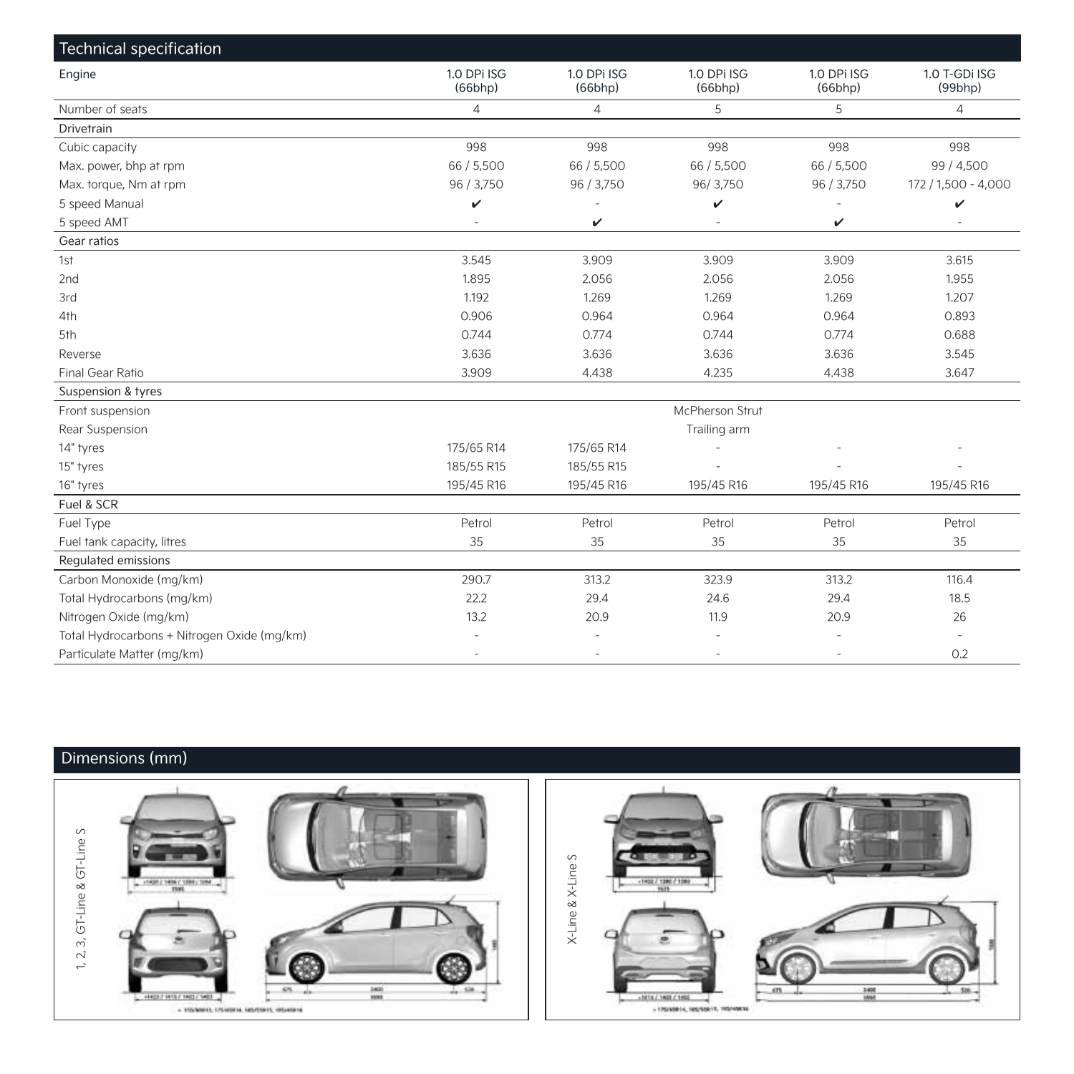| Technical specification                     |                        |                        |                          |                        |                                |
|---------------------------------------------|------------------------|------------------------|--------------------------|------------------------|--------------------------------|
| Engine                                      | 1.0 DPi ISG<br>(66bhp) | 1.0 DPi ISG<br>(66bhp) | 1.0 DPi ISG<br>(66bhp)   | 1.0 DPi ISG<br>(66bhp) | 1.0 T-GDi ISG<br>$(99$ bhp $)$ |
| Number of seats                             | $\overline{4}$         | $\overline{4}$         | 5                        | 5                      | $\overline{4}$                 |
| Drivetrain                                  |                        |                        |                          |                        |                                |
| Cubic capacity                              | 998                    | 998                    | 998                      | 998                    | 998                            |
| Max. power, bhp at rpm                      | 66 / 5,500             | 66 / 5,500             | 66 / 5,500               | 66 / 5,500             | 99 / 4,500                     |
| Max. torque, Nm at rpm                      | 96 / 3,750             | 96 / 3,750             | 96/3,750                 | 96 / 3,750             | 172 / 1,500 - 4,000            |
| 5 speed Manual                              | v                      |                        | v                        |                        | $\checkmark$                   |
| 5 speed AMT                                 | $\sim$                 | v                      | $\overline{\phantom{a}}$ | v                      |                                |
| Gear ratios                                 |                        |                        |                          |                        |                                |
| 1st                                         | 3.545                  | 3.909                  | 3.909                    | 3.909                  | 3.615                          |
| 2 <sub>nd</sub>                             | 1.895                  | 2.056                  | 2.056                    | 2.056                  | 1.955                          |
| 3rd                                         | 1.192                  | 1.269                  | 1.269                    | 1.269                  | 1.207                          |
| 4th                                         | 0.906                  | 0.964                  | 0.964                    | 0.964                  | 0.893                          |
| 5th                                         | 0.744                  | 0.774                  | 0.744                    | 0.774                  | 0.688                          |
| Reverse                                     | 3.636                  | 3.636                  | 3.636                    | 3.636                  | 3.545                          |
| Final Gear Ratio                            | 3.909                  | 4.438                  | 4.235                    | 4.438                  | 3.647                          |
| Suspension & tyres                          |                        |                        |                          |                        |                                |
| Front suspension                            |                        |                        | McPherson Strut          |                        |                                |
| Rear Suspension                             |                        |                        | Trailing arm             |                        |                                |
| 14" tyres                                   | 175/65 R14             | 175/65 R14             |                          |                        |                                |
| 15" tyres                                   | 185/55 R15             | 185/55 R15             |                          |                        |                                |
| 16" tyres                                   | 195/45 R16             | 195/45 R16             | 195/45 R16               | 195/45 R16             | 195/45 R16                     |
| Fuel & SCR                                  |                        |                        |                          |                        |                                |
| Fuel Type                                   | Petrol                 | Petrol                 | Petrol                   | Petrol                 | Petrol                         |
| Fuel tank capacity, litres                  | 35                     | 35                     | 35                       | 35                     | 35                             |
| Regulated emissions                         |                        |                        |                          |                        |                                |
| Carbon Monoxide (mg/km)                     | 290.7                  | 313.2                  | 323.9                    | 313.2                  | 116.4                          |
| Total Hydrocarbons (mg/km)                  | 22.2                   | 29.4                   | 24.6                     | 29.4                   | 18.5                           |
| Nitrogen Oxide (mg/km)                      | 13.2                   | 20.9                   | 11.9                     | 20.9                   | 26                             |
| Total Hydrocarbons + Nitrogen Oxide (mg/km) | ٠                      |                        |                          | ÷,                     |                                |
| Particulate Matter (mg/km)                  |                        |                        |                          |                        | 0.2                            |

### Dimensions (mm)

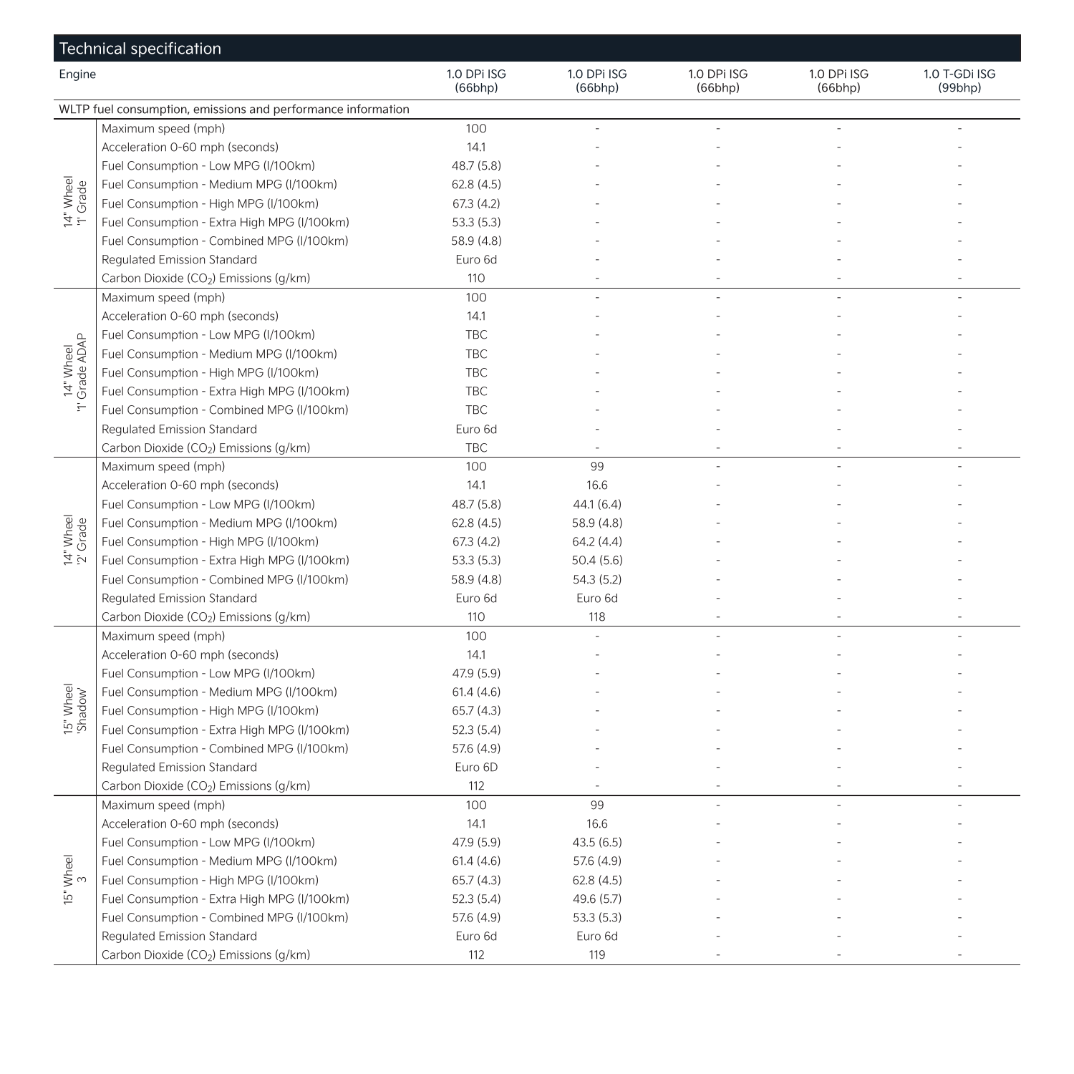| Technical specification |                                                              |                        |                        |                        |                        |                          |  |
|-------------------------|--------------------------------------------------------------|------------------------|------------------------|------------------------|------------------------|--------------------------|--|
| Engine                  |                                                              | 1.0 DPi ISG<br>(66bhp) | 1.0 DPi ISG<br>(66bhp) | 1.0 DPi ISG<br>(66bhp) | 1.0 DPi ISG<br>(66bhp) | 1.0 T-GDi ISG<br>(99bhp) |  |
|                         | WLTP fuel consumption, emissions and performance information |                        |                        |                        |                        |                          |  |
|                         | Maximum speed (mph)                                          | 100                    |                        |                        |                        |                          |  |
|                         | Acceleration 0-60 mph (seconds)                              | 14.1                   |                        |                        |                        |                          |  |
|                         | Fuel Consumption - Low MPG (I/100km)                         | 48.7 (5.8)             |                        |                        |                        |                          |  |
| 14" Wheel<br>'1' Grade  | Fuel Consumption - Medium MPG (I/100km)                      | 62.8(4.5)              |                        |                        |                        |                          |  |
|                         | Fuel Consumption - High MPG (I/100km)                        | 67.3 (4.2)             |                        |                        |                        |                          |  |
|                         | Fuel Consumption - Extra High MPG (I/100km)                  | 53.3(5.3)              |                        |                        |                        |                          |  |
|                         | Fuel Consumption - Combined MPG (I/100km)                    | 58.9 (4.8)             |                        |                        |                        |                          |  |
|                         | Regulated Emission Standard                                  | Euro 6d                |                        |                        |                        |                          |  |
|                         | Carbon Dioxide (CO <sub>2</sub> ) Emissions (g/km)           | 110                    |                        |                        |                        |                          |  |
|                         | Maximum speed (mph)                                          | 100                    |                        |                        |                        |                          |  |
|                         | Acceleration 0-60 mph (seconds)                              | 14.1                   |                        |                        |                        |                          |  |
|                         | Fuel Consumption - Low MPG (I/100km)                         | <b>TBC</b>             |                        |                        |                        |                          |  |
| 14" Wheel<br>Grade ADAP | Fuel Consumption - Medium MPG (I/100km)                      | <b>TBC</b>             |                        |                        |                        |                          |  |
|                         | Fuel Consumption - High MPG (I/100km)                        | TBC                    |                        |                        |                        |                          |  |
|                         | Fuel Consumption - Extra High MPG (I/100km)                  | TBC                    |                        |                        |                        |                          |  |
| $\frac{1}{2}$           | Fuel Consumption - Combined MPG (I/100km)                    | <b>TBC</b>             |                        |                        |                        |                          |  |
|                         | Regulated Emission Standard                                  | Euro 6d                |                        |                        |                        |                          |  |
|                         | Carbon Dioxide (CO <sub>2</sub> ) Emissions (q/km)           | <b>TBC</b>             |                        |                        |                        |                          |  |
|                         | Maximum speed (mph)                                          | 100                    | 99                     |                        |                        |                          |  |
|                         | Acceleration 0-60 mph (seconds)                              | 14.1                   | 16.6                   |                        |                        |                          |  |
|                         | Fuel Consumption - Low MPG (I/100km)                         | 48.7 (5.8)             | 44.1(6.4)              |                        |                        |                          |  |
| 14" Wheel<br>2' Grade   | Fuel Consumption - Medium MPG (I/100km)                      | 62.8(4.5)              | 58.9 (4.8)             |                        |                        |                          |  |
|                         | Fuel Consumption - High MPG (I/100km)                        | 67.3 (4.2)             | 64.2(4.4)              |                        |                        |                          |  |
|                         | Fuel Consumption - Extra High MPG (I/100km)                  | 53.3 (5.3)             | 50.4(5.6)              |                        |                        |                          |  |
|                         | Fuel Consumption - Combined MPG (I/100km)                    | 58.9 (4.8)             | 54.3 (5.2)             |                        |                        |                          |  |
|                         | Regulated Emission Standard                                  | Euro 6d                | Euro 6d                |                        |                        |                          |  |
|                         | Carbon Dioxide (CO <sub>2</sub> ) Emissions (g/km)           | 110                    | 118                    |                        |                        |                          |  |
|                         | Maximum speed (mph)                                          | 100                    |                        |                        |                        |                          |  |
|                         | Acceleration 0-60 mph (seconds)                              | 14.1                   |                        |                        |                        |                          |  |
|                         | Fuel Consumption - Low MPG (I/100km)                         | 47.9 (5.9)             |                        |                        |                        |                          |  |
|                         | Fuel Consumption - Medium MPG (I/100km)                      | 61.4(4.6)              |                        |                        |                        |                          |  |
| 15" Wheel<br>Shadow"    | Fuel Consumption - High MPG (I/100km)                        | 65.7(4.3)              |                        |                        |                        |                          |  |
|                         | Fuel Consumption - Extra High MPG (I/100km)                  | 52.3(5.4)              |                        |                        |                        |                          |  |
|                         | Fuel Consumption - Combined MPG (I/100km)                    | 57.6 (4.9)             |                        |                        |                        |                          |  |
|                         | Regulated Emission Standard                                  | Euro 6D                |                        |                        |                        |                          |  |
|                         | Carbon Dioxide (CO <sub>2</sub> ) Emissions (g/km)           | 112                    |                        |                        |                        |                          |  |
|                         | Maximum speed (mph)                                          | 100                    | 99                     |                        |                        |                          |  |
|                         | Acceleration 0-60 mph (seconds)                              | 14.1                   | 16.6                   |                        |                        |                          |  |
|                         | Fuel Consumption - Low MPG (I/100km)                         | 47.9 (5.9)             | 43.5(6.5)              |                        |                        |                          |  |
| Wheel<br>3              | Fuel Consumption - Medium MPG (I/100km)                      | 61.4(4.6)              | 57.6 (4.9)             |                        |                        |                          |  |
|                         | Fuel Consumption - High MPG (I/100km)                        | 65.7(4.3)              | 62.8(4.5)              |                        |                        |                          |  |
| $\mathbb{E}^n$          | Fuel Consumption - Extra High MPG (I/100km)                  | 52.3(5.4)              | 49.6 (5.7)             |                        |                        |                          |  |
|                         | Fuel Consumption - Combined MPG (I/100km)                    | 57.6 (4.9)             | 53.3(5.3)              |                        |                        |                          |  |
|                         | Regulated Emission Standard                                  | Euro 6d                | Euro 6d                |                        |                        |                          |  |
|                         | Carbon Dioxide (CO2) Emissions (g/km)                        | 112                    | 119                    |                        |                        |                          |  |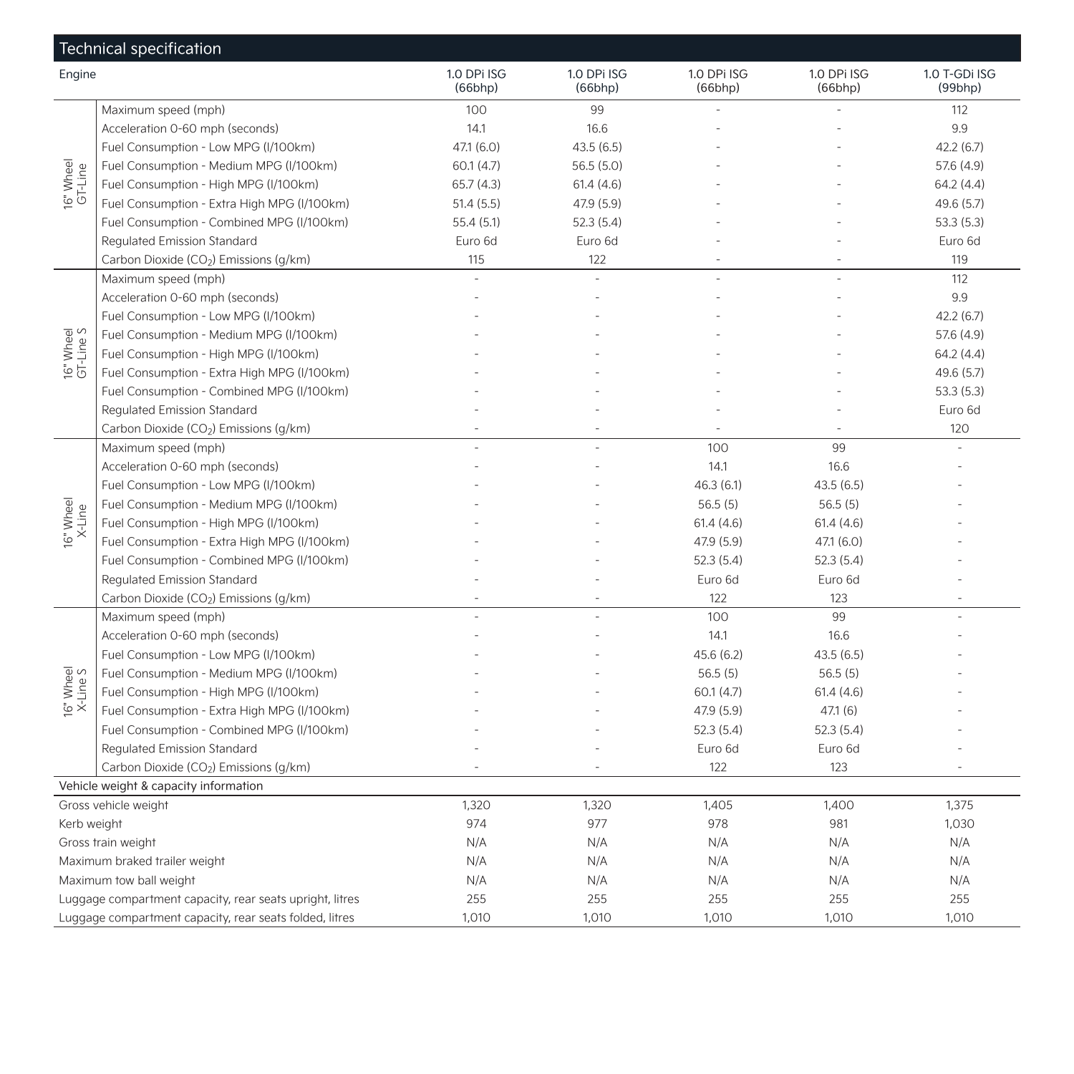|                        | Technical specification                                  |                        |                        |                        |                        |                          |
|------------------------|----------------------------------------------------------|------------------------|------------------------|------------------------|------------------------|--------------------------|
| Engine                 |                                                          | 1.0 DPi ISG<br>(66bhp) | 1.0 DPi ISG<br>(66bhp) | 1.0 DPi ISG<br>(66bhp) | 1.0 DPi ISG<br>(66bhp) | 1.0 T-GDi ISG<br>(99bhp) |
|                        | Maximum speed (mph)                                      | 100                    | 99                     |                        |                        | 112                      |
|                        | Acceleration 0-60 mph (seconds)                          | 14.1                   | 16.6                   |                        |                        | 9.9                      |
|                        | Fuel Consumption - Low MPG (I/100km)                     | 47.1 (6.0)             | 43.5(6.5)              |                        |                        | 42.2(6.7)                |
| 16" Wheel<br>GT-Line   | Fuel Consumption - Medium MPG (I/100km)                  | 60.1(4.7)              | 56.5(5.0)              |                        |                        | 57.6 (4.9)               |
|                        | Fuel Consumption - High MPG (I/100km)                    | 65.7 (4.3)             | 61.4(4.6)              |                        |                        | 64.2 (4.4)               |
|                        | Fuel Consumption - Extra High MPG (I/100km)              | 51.4(5.5)              | 47.9 (5.9)             |                        |                        | 49.6 (5.7)               |
|                        | Fuel Consumption - Combined MPG (I/100km)                | 55.4 (5.1)             | 52.3(5.4)              |                        |                        | 53.3(5.3)                |
|                        | Regulated Emission Standard                              | Euro 6d                | Euro 6d                |                        |                        | Euro 6d                  |
|                        | Carbon Dioxide (CO2) Emissions (q/km)                    | 115                    | 122                    |                        |                        | 119                      |
|                        | Maximum speed (mph)                                      |                        |                        |                        |                        | 112                      |
|                        | Acceleration 0-60 mph (seconds)                          |                        |                        |                        |                        | 9.9                      |
|                        | Fuel Consumption - Low MPG (I/100km)                     |                        |                        |                        |                        | 42.2(6.7)                |
|                        | Fuel Consumption - Medium MPG (I/100km)                  |                        |                        |                        |                        | 57.6 (4.9)               |
| 16" Wheel<br>GT-Line S | Fuel Consumption - High MPG (I/100km)                    |                        |                        |                        |                        | 64.2(4.4)                |
|                        | Fuel Consumption - Extra High MPG (I/100km)              |                        |                        |                        |                        | 49.6 (5.7)               |
|                        | Fuel Consumption - Combined MPG (I/100km)                |                        |                        |                        |                        | 53.3(5.3)                |
|                        | Regulated Emission Standard                              |                        |                        |                        |                        | Euro 6d                  |
|                        | Carbon Dioxide (CO <sub>2</sub> ) Emissions (g/km)       |                        |                        |                        |                        | 120                      |
|                        | Maximum speed (mph)                                      |                        |                        | 100                    | 99                     |                          |
|                        | Acceleration 0-60 mph (seconds)                          |                        |                        | 14.1                   | 16.6                   |                          |
|                        | Fuel Consumption - Low MPG (I/100km)                     |                        |                        | 46.3(6.1)              | 43.5(6.5)              |                          |
| 16" Wheel<br>X-Line    | Fuel Consumption - Medium MPG (I/100km)                  |                        |                        | 56.5(5)                | 56.5(5)                |                          |
|                        | Fuel Consumption - High MPG (I/100km)                    |                        |                        | 61.4(4.6)              | 61.4(4.6)              |                          |
|                        | Fuel Consumption - Extra High MPG (I/100km)              |                        |                        | 47.9 (5.9)             | 47.1(6.0)              |                          |
|                        | Fuel Consumption - Combined MPG (I/100km)                |                        |                        | 52.3(5.4)              | 52.3(5.4)              |                          |
|                        | Regulated Emission Standard                              |                        |                        | Euro 6d                | Euro 6d                |                          |
|                        | Carbon Dioxide (CO2) Emissions (q/km)                    |                        |                        | 122                    | 123                    |                          |
|                        | Maximum speed (mph)                                      |                        |                        | 100                    | 99                     |                          |
|                        | Acceleration 0-60 mph (seconds)                          |                        |                        | 14.1                   | 16.6                   |                          |
|                        | Fuel Consumption - Low MPG (I/100km)                     |                        |                        | 45.6 (6.2)             | 43.5(6.5)              |                          |
|                        | Fuel Consumption - Medium MPG (I/100km)                  |                        |                        | 56.5(5)                | 56.5(5)                |                          |
| 16" Wheel<br>X-Line S  | Fuel Consumption - High MPG (I/100km)                    |                        |                        | 60.1(4.7)              | 61.4(4.6)              |                          |
|                        | Fuel Consumption - Extra High MPG (I/100km)              |                        |                        | 47.9 (5.9)             | 47.1(6)                |                          |
|                        | Fuel Consumption - Combined MPG (I/100km)                |                        |                        | 52.3(5.4)              | 52.3(5.4)              |                          |
|                        | Regulated Emission Standard                              |                        |                        | Euro 6d                | Euro 6d                |                          |
|                        | Carbon Dioxide (CO <sub>2</sub> ) Emissions (g/km)       |                        |                        | 122                    | 123                    |                          |
|                        | Vehicle weight & capacity information                    |                        |                        |                        |                        |                          |
|                        | Gross vehicle weight                                     | 1,320                  | 1,320                  | 1,405                  | 1,400                  | 1,375                    |
| Kerb weight            |                                                          | 974                    | 977                    | 978                    | 981                    | 1,030                    |
|                        | Gross train weight                                       | N/A                    | N/A                    | N/A                    | N/A                    | N/A                      |
|                        | Maximum braked trailer weight                            | N/A                    | N/A                    | N/A                    | N/A                    | N/A                      |
|                        | Maximum tow ball weight                                  | N/A                    | N/A                    | N/A                    | N/A                    | N/A                      |
|                        | Luggage compartment capacity, rear seats upright, litres | 255                    | 255                    | 255                    | 255                    | 255                      |
|                        | Luggage compartment capacity, rear seats folded, litres  | 1,010                  | 1,010                  | 1,010                  | 1,010                  | 1,010                    |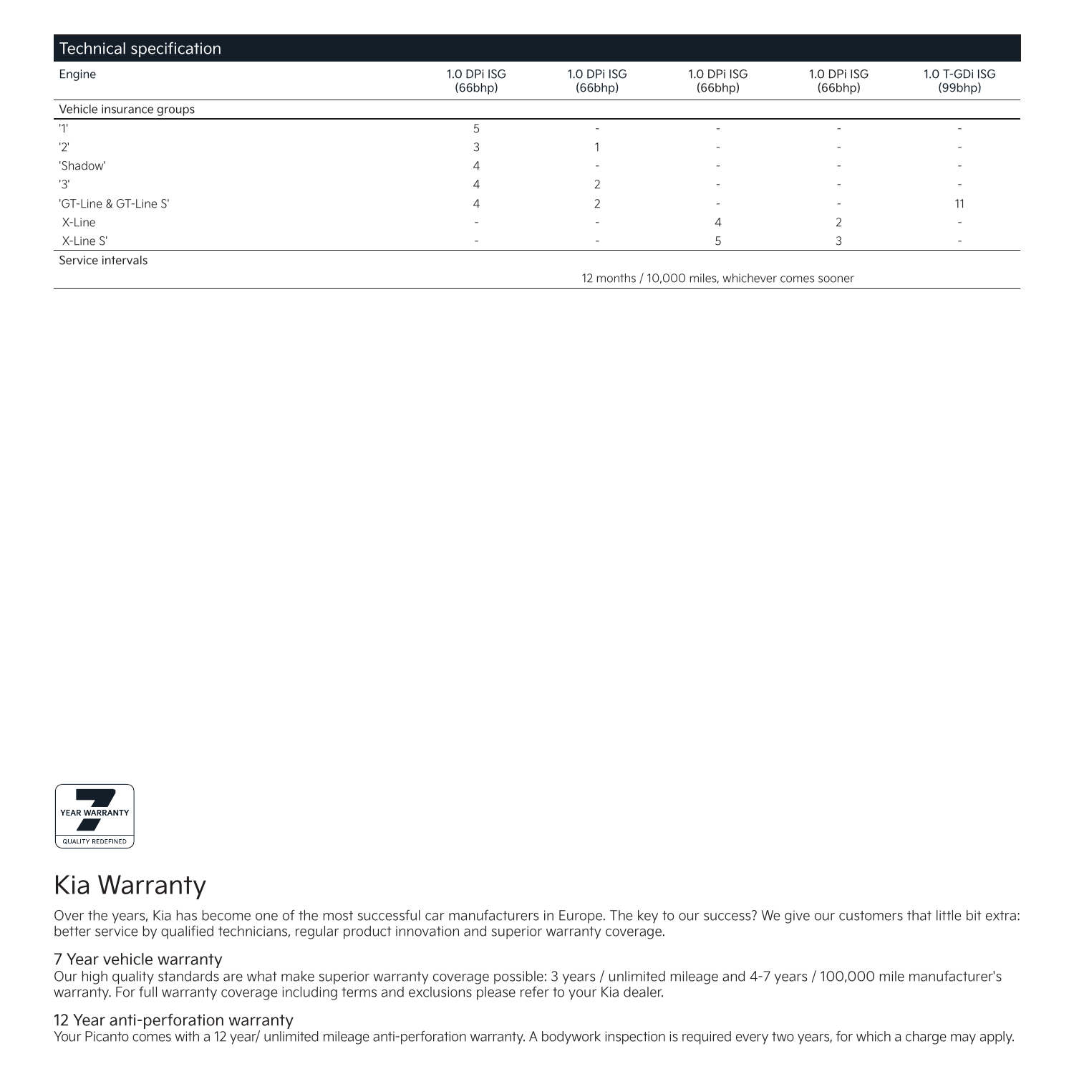| Technical specification  |                          |                        |                                                  |                          |                          |
|--------------------------|--------------------------|------------------------|--------------------------------------------------|--------------------------|--------------------------|
| Engine                   | 1.0 DPi ISG<br>(66bhp)   | 1.0 DPi ISG<br>(66bhp) | 1.0 DPi ISG<br>(66bhp)                           | 1.0 DPi ISG<br>(66bhp)   | 1.0 T-GDi ISG<br>(99bhp) |
| Vehicle insurance groups |                          |                        |                                                  |                          |                          |
| 111                      |                          |                        | ۰                                                |                          |                          |
| '2'                      |                          |                        | $\overline{\phantom{a}}$                         |                          |                          |
| 'Shadow'                 |                          |                        | $\overline{\phantom{a}}$                         | ۰                        |                          |
| '3'                      |                          |                        | $\overline{\phantom{a}}$                         | $\overline{\phantom{a}}$ |                          |
| 'GT-Line & GT-Line S'    |                          |                        | $\overline{\phantom{a}}$                         | $\overline{\phantom{a}}$ | 11                       |
| X-Line                   |                          |                        | 4                                                |                          |                          |
| X-Line S'                | $\overline{\phantom{a}}$ | ۰                      |                                                  |                          | $\overline{\phantom{a}}$ |
| Service intervals        |                          |                        |                                                  |                          |                          |
|                          |                          |                        | 12 months / 10,000 miles, whichever comes sooner |                          |                          |



## Kia Warranty

Over the years, Kia has become one of the most successful car manufacturers in Europe. The key to our success? We give our customers that little bit extra: better service by qualified technicians, regular product innovation and superior warranty coverage.

### 7 Year vehicle warranty

Our high quality standards are what make superior warranty coverage possible: 3 years / unlimited mileage and 4-7 years / 100,000 mile manufacturer's warranty. For full warranty coverage including terms and exclusions please refer to your Kia dealer.

#### 12 Year anti-perforation warranty

Your Picanto comes with a 12 year/ unlimited mileage anti-perforation warranty. A bodywork inspection is required every two years, for which a charge may apply.